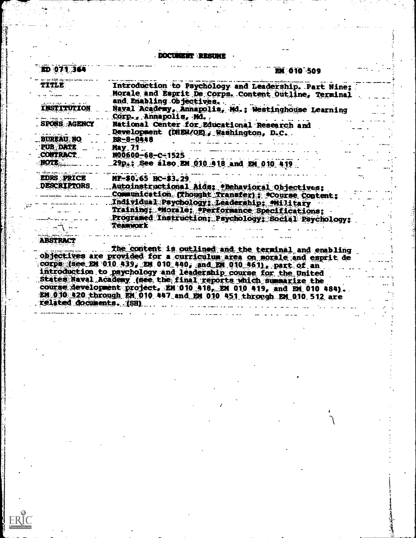DOCUMENT RESUME

| ED 071 364         | EM 010 509                                                                                                                     |
|--------------------|--------------------------------------------------------------------------------------------------------------------------------|
| <b>TITLE</b>       | Introduction to Psychology and Leadership. Part Nine;                                                                          |
|                    | Morale and Esprit De Corps. Content Outline, Terminal                                                                          |
|                    | and Enabling Objectives.                                                                                                       |
| INSTITUTION        | Naval Academy, Annapolis, Md.; Westinghouse Learning                                                                           |
| سنتعاطف والورودان  | Corp., Annapolis, Md                                                                                                           |
| . SPONS AGENCY     | National Center for Educational Research and                                                                                   |
| <b>BUREAU NO</b>   | Development (DHEW/OE), Washington, D.C.                                                                                        |
| <b>PUB DATE</b>    | $BR - 8 - 0448$<br>May 71                                                                                                      |
| <b>CONTRACT</b>    | $N00600 - 68 - C - 1525$                                                                                                       |
| <b>NOTE</b>        | 29p.; See also EM 010 418 and EM 010 419                                                                                       |
|                    |                                                                                                                                |
| <b>EDRS PRICE</b>  | MF-\$0.65 HC-\$3.29                                                                                                            |
| <b>DESCRIPTORS</b> | Autoinstructional Aids: *Behavioral Objectives:                                                                                |
|                    | Communication (Thought Transfer); Course Content;                                                                              |
|                    | Individual Psychology: Leadership; Military                                                                                    |
|                    | Training; Morale; Performance Specifications;                                                                                  |
|                    | Programed Instruction; Psychology; Social Psychology;                                                                          |
|                    | <b>Teamwork</b>                                                                                                                |
| <b>ABSTRACT</b>    |                                                                                                                                |
|                    |                                                                                                                                |
|                    | The content is outlined and the terminal and enabling<br>objectives are provided for a curriculum area on morale and esprit de |
|                    | corps (see EM 010 439, EM 010 440, and EM 010 461), part of an                                                                 |
|                    | introduction to psychology and leadership course for the United                                                                |
|                    | States Naval Academy (see the final reports which summarize the                                                                |
|                    | course development project, EM 010 418, EM 010 419, and EM 010 484).                                                           |
|                    | EM 010 420 through EM 010 447 and EM 010 451 through EM 010 512 are                                                            |

related documents. (SH)

عغ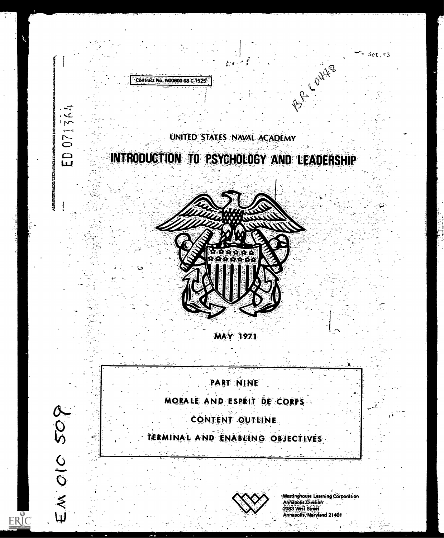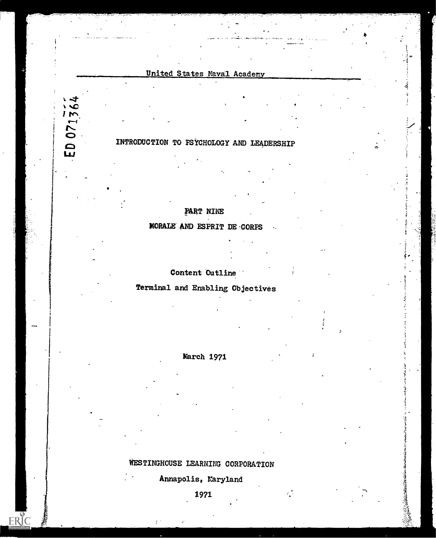## United States Naval Academy

## INTRODUCTION TO PSYCHOLOGY AND LEADERSHIP

 $1<sub>m</sub>$ 

 $\sum$ 

 $\mathbf{D}$ 

ERIC

## PART NINE

MORALE AND ESPRIT DE-CORPS

### Content Cutline

Terminal and Enabling Objectives



WESTINGHOUSE LEARNING CORPORATION

Annapolis, Maryland

 $\mathcal{L}^{\frac{1}{2}}$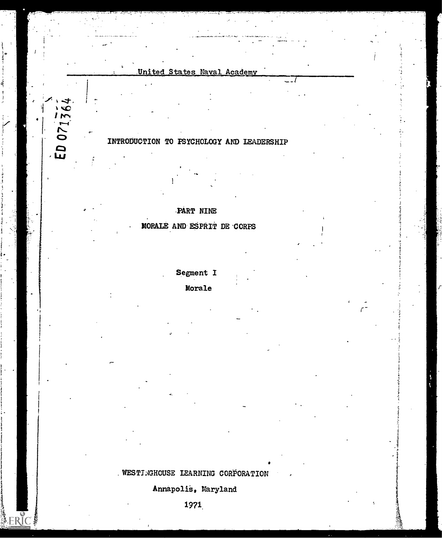

## INTRODUCTION TO PSYCHOLOGY AND LEADERSHIP

## -PART NINE

## - MORALE AND ESPRIT DE -CORPS

Segment I

## Morale

 $\mathcal{L}^{\pm}$  and  $\mathcal{L}^{\pm}$ 

 $\frac{1}{2}$  2  $\frac{1}{2}$   $\frac{1}{2}$ 

## WESTINGHOUSE LEARNING CORPORATION

Annapolie, Maryland

1971.

A ERIC!

 $EDO71364$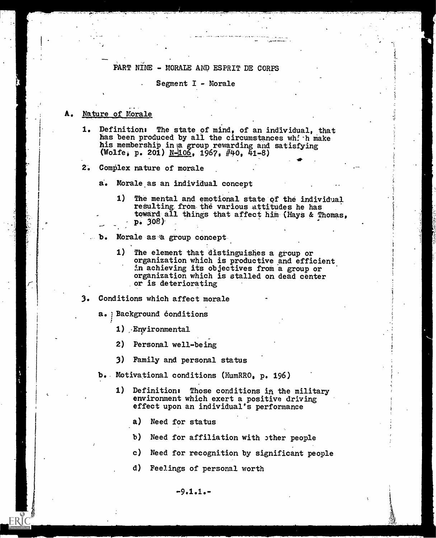### PART NINE - MORALE AND ESPRIT DE CORPS

#### Segment I - Morale

#### Nature of Morale

 $\sum_{i=1}^n$ 

- 1. Definition: The state of mind, of an individual, that has been produced by all the circumstances which make his membership in a group rewarding and satisfying (Wolfe, p. 201)  $N-106$ , 1967, #40, 41-8)
- 2. Complex nature of morale

a. Morale as an individual concept

1) The mental and emotional state of the individual resulting from the various attitudes he has toward all things that affect him (Hays & Thomas,  $p. 308$ 

110. In 1916. In 1916. In 1916. In 1916. In 1916. In 1916. In 1916. In 1916. In 1916. In 1916. In 1916. In 19<br>1916. In 1916. In 1916. In 1916. In 1916. In 1916. In 1916. In 1916. In 1916. In 1916. In 1916. In 1916. In 19<br>1

Morale as a group concept. .ъ.

> 1) The element that distinguishes a group or organization which is productive and efficient in achieving its objectives from a group or organization which is stalled on dead center or is deteriorating

#### 3. Conditions which affect morale

a. Dackground conditions

- 1) -Environmental
- 2) Personal well-being
- 3) Family and personal status
- b. Motivational conditions (HumRRO, p. 196)
	- 1) Definition: Those conditions in the military environment which exert a positive driving effect upon an individual's performance
		- a) Need for status
		- b) Need for affiliation with other people
		- c) Need for recognition by significant people
		- d) Feelings of personal worth

 $-9.1.1 -$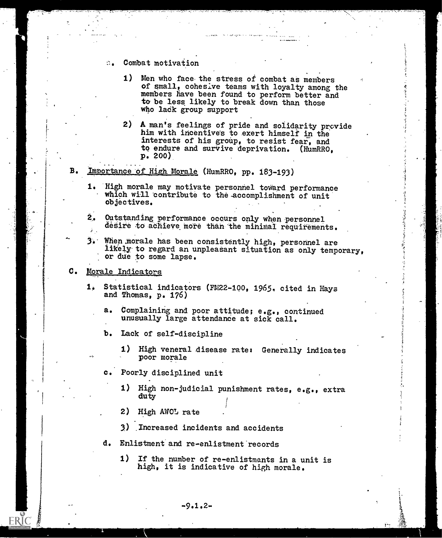- Combat motivation  $\mathcal{L}_{\mathbf{A}}$ 
	- 1) Men who face the stress of combat as members of small, cohesive teams with loyalty among the members have been found to perform better and to be less likely to break down than those who ladk group support
	- 2) A man's feelings of pride and solidarity provide him with incentives to exert himself in the interests of his group, to resist fear, and to endure and survive deprivation. (HumRRO, p. 200)
- Importance of High Morale (HumRRO, pp. 183-193)
	- 1. High morale may motivate personnel toward performance which will contribute to the accomplishment of unit Objectives.
	- $2_{0}$ Outstanding-performance occurs only When-personnel desire to achieve more than the minimal requirements.
	- $3$ . When morale has been consistently high, personnel are likely to regard an unpleasant situation as only temporary, or due to some lapse.

#### C. Morale Indicators

- 1. Statistical indicators (FM22-100, 1965, cited in Hays and Thomas, p. 176)
	- a. Complaining and poor attitude; e.g., continued unusually large attendance at sick call.
	- b. Lack of self-discipline
		- 1) High veneral disease rate: Generally indicates poor morale

 $\tilde{\phantom{a}}$ 

- c. Poorly disciplined unit
	- 1) High non-judicial punishment rates, e.g., extra duty
	- 2) High AWOL rate
	- 3) Increased incidents and accidents
- d. Enlistment and re-enlistment records
	- 1) If the number of re-enlistments in a unit is high, it is indicative of high morale.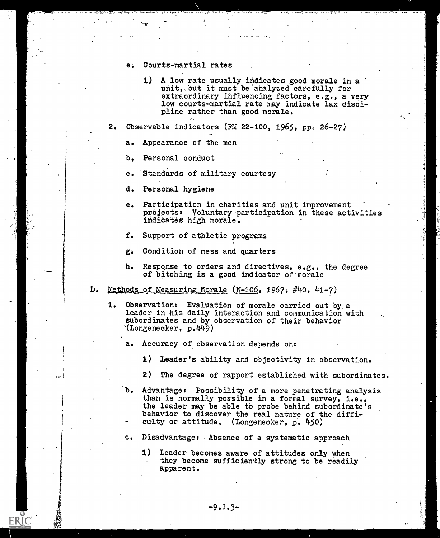- e. Courts-martial rates
	- 1) A low rate usually indicates good morale in a unit, but it must be analyzed carefully for extraordinary influencing factors, e.g., a very low courts-martial rate may indicate lax discipline rather than good morale.

2. Observable indicators (FM 22-100, 1965, pp. 26-27)

a. Appearance of the men

b. Personal conduct

c. Standards of military courtesy

- d. Personal hygiene
- e. Participation in charities and unit improvement projects: Voluntary participation in these activities indicates high morale.
- f. Support of athletic programs
- g. Condition of mess and quarters
- h. Response to orders and directives, e.g., the degree of bitching is a good indicator of 'morale
- L. Methods of Measuring Morale (N-106, 1967, #4o, 41-7)
	- 1. Observation: Evaluation of morale carried out by a leader in his daily interaction and communication with subordinates and by observation of their behavior '(Longenecker, p.449)
		- a. Accuracy of observation depends on:
			- 1) Leader's ability and objectivity in observation.
			- 2) The degree of rapport established with subordinates.
		- b. Advantage: Possibility of a more penetrating analysis than is normally possible in a formal survey, i.e., the leader may be able to probe behind subordinate's behavior to discover the real nature of the difficulty or attitude. (Longenecker, p. 450)
		- c. Disadvantage: Absence of a systematic approach
			- 1) Leader becomes aware of attitudes only when they become sufficiently strong to be readily apparent.

ERIC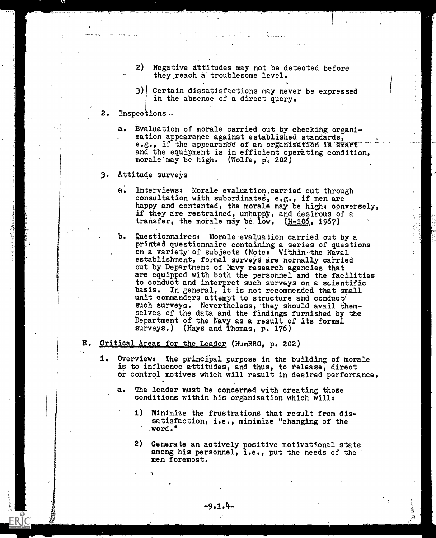- 2) Negative attitudes may not be detected before they reach a troublesome level.
- 3) Certain dissatisfactions may never be expressed in the absence of a direct query.
- 2. Inspections.
	- a. Evaluation of morale carried out by checking organization appearance against established standards, e.g., if the appearance of an organization is smart and the equipment is in efficient operating condition, morale may be high. (Wolfe,  $p_i$ , 202)
- 3. Attitude surveys

Ý

- a. Interviews: Morale evaluation carried out through consultation with subordinates,  $e.g.,$  if men are happy and contented, the morale may be high; conversely, if they are restrained, unhappy, and desirous of a transfer, the morale may be low.  $(N-106, 1967)$
- b. Questionnaires: Morale-evaluation carried out by a printed questionnaire containing a series of questions. on a variety' of subjects (Note: Within- the Naval establishment, formal surveys are normally carried out by Department of Navy research agencies that are equipped with both the personnel and the facilities to conduct and interpret such surveys on a scientific basis. In general, it is not recommended that small unit commanders attempt to structure and conduct such surveys. Nevertheless, they should avail themselves of the data and the findings furnished by the Department of the Navy as a result of its formal surveys.) (Hays and Thomas, p. 176)
- E. Critical Areas for the Leader (HumRRO, p. 202)
	- 1. Overview: The principal purpose in the building of morale is to influence attitudes, and thus, to release, direct or control motives which will result in desired performance.
		- a. The leader must be concerned with creating those conditions within his organization which will:
			- 1) Minimize the frustrations that result from dissatisfaction, i.e., minimize "changing of the word."
			- 2) Generate an actively positive motivational state among his personnel, i.e., put the needs of the men foremost.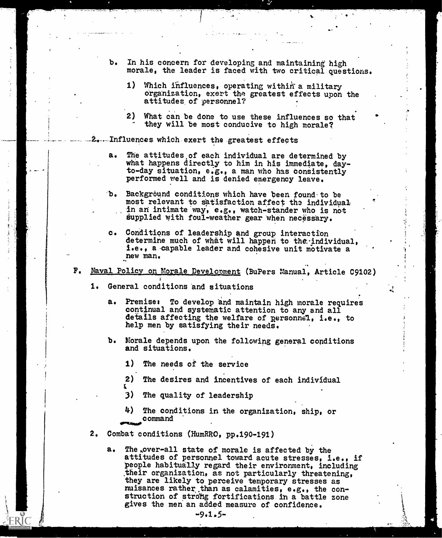b. In his concern for developing and maintaining high morale, the leader is faced with two critical questions.

the contract of the con-

4

- 1) Which influences, operating within a military organization, exert the greatest effects upon the attitudes, of personnel?
- ) What can be done to use these influences so that they will be most conducive to high morale?
- .. Influences which- exert the greatest effects
	- a. The attitudes,of each individual are determined by what happens directly to him in his immediate, dayto-day situation, e.g., a man who has consistently performed well and is denied emergency leave.
	- b. Background conditions which have been found to be most relevant to satisfaction affect the individual in an intimate way, e.g., watch-stander who is not supplied with foul-weather gear when necessary.
	- c. Conditions of leadership and group interaction determine much of what will happen to the individual, i.e., a capable leader and cohesive unit motivate a new man.
- F. Naval Policy on Morale Development (BuPers Manual, Article C9102)
	- 1. General conditions and situations
		- a. Premise: To develop and maintain high morale requires continual and systematic attention to any and all details affecting the welfare of personnel, i.e., to help men by satisfying their needs.
		- b. Morale depends upon the following general conditions and situations.
			- 1) The needs of the service
			- 2) The desires and incentives of each individual
			- 3) The quality of leadership
			- The conditions in the organization, ship, or command
	- 2. Combat conditions (HumRRO, pp.190-191)
		- a. The over-all state of morale is affected by the attitudes of personnel toward acute stresses, i.e., if people habitually regard their environment, including their organization, as not particularly threatening, they are likely to perceive temporary stresses as muisances rather than as calamities,  $e.g.,$  the construction of strong fortifications in a battle zone gives the men an added measure of confidence.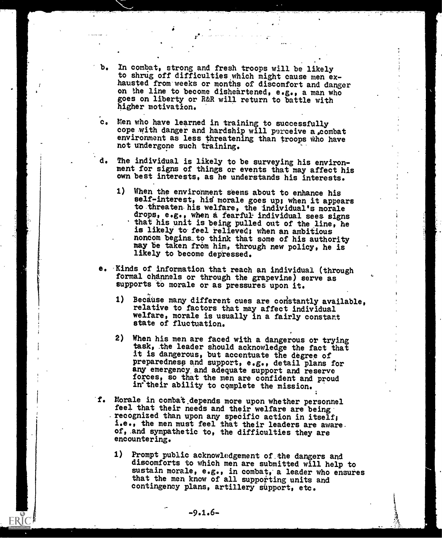- b. In combat, strong and fresh troops will be likely to shrug off difficulties which might cause men exhausted from weeks or months of discomfort and danger on the line to become disheartened, e.g., a man who goes on liberty or R&R will return to battle with higher motivation.
- Men who have learned in training to successfully cope with danger and hardship will perceive a,combat environment as less threatening than troops Who have not undergone such training.
- The individual is likely to be surveying his environment for signs of things or events that may affect his own best interests, as he understands his interests.
	- 1) When the environment seems about to enhance his self-interest, his morale goes up; when it appears to threaten his welfare, the individual's morale drops, e.g., when a fearful individual sees signs that his unit is being pulled out of the line, he is likely to feel relieved; when an ambitious noncom begins\_to think that some of his authority may be taken from him, through new policy, he is likely to become depressed.
- e. Kinds of information that reach an individual (through formal channels or through the grapevine) serve as supports to morale or as pressures upon it.
	- 1) Because many different cues are constantly available, relative to factors that may affect individual welfare, morale is usually in a fairly constant state of fluctuation.
	- 2) When his men are faced with a dangerous or trying task, the leader should acknowledge the fact that it is dangerous, but accentuate the degree of preparedness and support, e.g., detail plans for any emergency and adequate support and reserve forces, so that the men are confident and proud in<sup>their</sup> ability to complete the mission.
- f. Morale in combat.depends more upon whether personnel feel that their needs and their welfare are being' recognized than upon any specific action in itself; i.e., the men must feel that their leaders are aware. of, and sympathetic to, the difficulties they are encountering.
	- 1) Prompt public acknowledgement of the dangers and discomforts to which men are submitted will help to sustain morale, e.g., in combat, a leader who ensures that the men know of all supporting units and contingency plans, artillery support, etc.

-9.1.6-

Ĭ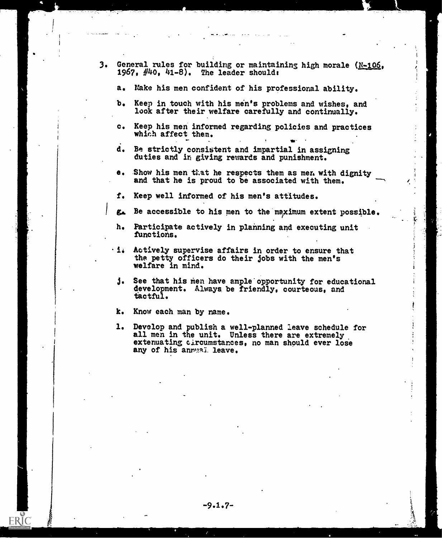- 3. General rules for building or maintaining high morale (N-106, 1967,  $\#40$ ,  $41-8$ ). The leader should:
	- a. Hake his men confident of his professional ability.
	- b. Keep in touch with his men's problems and wishes, and look after their welfare carefully and continually.
	- c. Keep his men informed regarding policies and practices which affect them.
	- d. Be strictly consistent and impartial in assigning duties and in giving rewards and punishment.
	- e. Show his men that he respects them as men with dignity and that he is proud to be associated with them.
	- f. Keep well informed of his men's attitudes.
	- ga. Be accessible to his men to the maximum extent possible.
	- h. Participate actively in planning and executing unit functions.
	- $\cdot$  i. Actively supervise affairs in order to ensure that the petty officers do their jobs with the men's welfare in mind.
	- j. See that his men have ample' opportunity for educational development. Always, be friendly, courteous, and tactful.
	- k. Know each man by name.

**ERIC** 

1. Develop and publish a well-planned leave schedule for all men in the unit. Unless there are extremely extenuating circumstances, no man should ever lose any of his anryaï leave.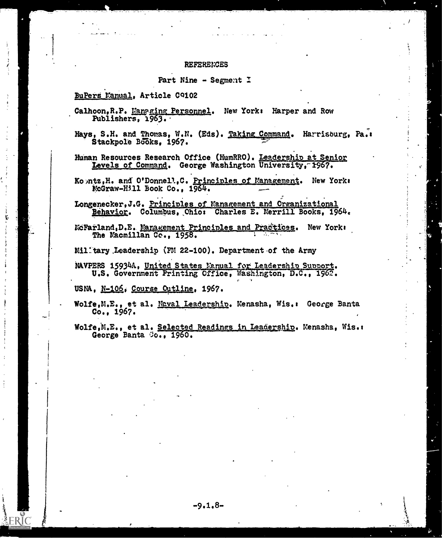#### **REFERENCES**

#### Part Nine - Segment I

### BuPers Manual, Article C9102

- Calhoon, R.P. Managing Personnel. New York: Harper and Row Publishers, 1963.
- Hays, S.H. and Thomas, W.N. (Eds). Taking Command. Harrisburg, Pa.: Stackpole Books, 1967.
- Human Resources Research Office (HumRRO). Leadership at Senior Levels of Command. George Washington University, 1967.

Ko ntz, H. and O'Donnell, C. Principles of Management. New York:<br>McGraw-Hill Book Co., 1964.

- Longenecker, J.G. Principles of Management and Organizational Behavior. Columbus, Chio: Charles E. Merrill Books, 1964.
- McFarland, D.E. Management Principles and Practices. New York: The Macmillan Co., 1958.

Milltary Leadership (FM 22-100). Department of the Army

NAVPERS 15934A, United States Manual for Leadership Support. U.S. Government Printing Office, Washington, D.C., 1962.

USNA, N-106, Course Outline, 1967.

Wolfe, M.E., et al. Naval Leadership. Menasha, Wis.: George Banta  $Co., 1967.$ 

Wolfe, M.E., et al. Selected Readings in Leadership. Menasha, Wis.: George Banta Co., 1960.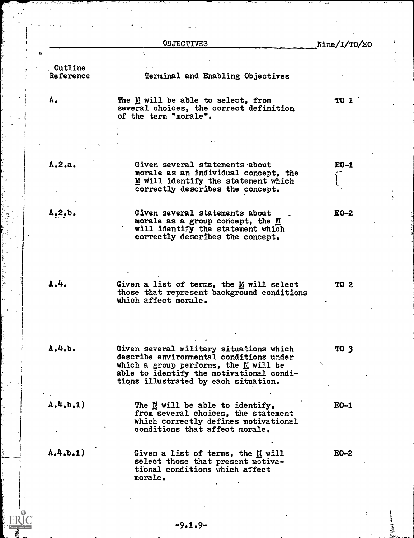|                             | <b>OBJECTIVES</b>                                                                                                                                                                                                 | Nine/I/TO/EO |
|-----------------------------|-------------------------------------------------------------------------------------------------------------------------------------------------------------------------------------------------------------------|--------------|
|                             | ÷                                                                                                                                                                                                                 |              |
| <b>Outline</b><br>Reference | Terminal and Enabling Objectives                                                                                                                                                                                  |              |
| Α.                          | The M will be able to select, from<br>several choices, the correct definition<br>of the term "morale".                                                                                                            | <b>TO 1</b>  |
|                             |                                                                                                                                                                                                                   |              |
| A, 2, a                     | Given several statements about<br>morale as an individual concept, the<br>M will identify the statement which<br>correctly describes the concept.                                                                 | $E0-1$       |
| $A, 2, b$ .                 | Given several statements about<br>morale as a group concept, the M<br>will identify the statement which<br>correctly describes the concept.                                                                       | $E0-2$       |
| A.4.                        | Given a list of terms, the $\mathbb{\underline{\mathbb{N}}}$ will select<br>those that represent background conditions<br>which affect morale.                                                                    | <b>TO 2</b>  |
| A.4. b.                     | Given several military situations which<br>describe environmental conditions under<br>which a group performs, the $M$ will be<br>able to identify the motivational condi-<br>tions illustrated by each situation. | TO 3         |
| A, 4, b, 1)                 | The M will be able to identify,<br>from several choices, the statement<br>which correctly defines motivational<br>conditions that affect morale.                                                                  | $E0-1$       |
| A.4. b. 1)                  | Given a list of terms, the M will<br>select those that present motiva-<br>tional conditions which affect<br>morale.                                                                                               | $E_0-2$      |

ÿ

 $ERIC$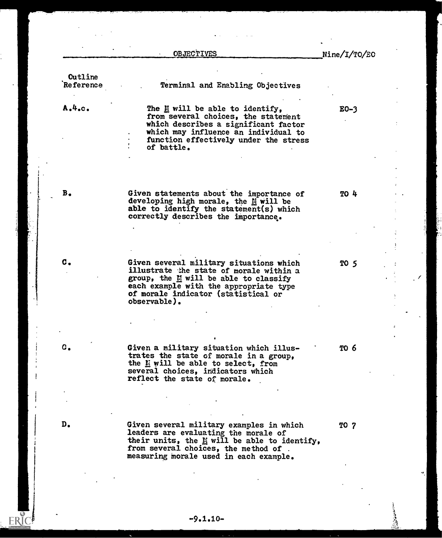|                      | <b>OBJECTIVES</b>                                                                                                                                                                                                                         | $\text{Nine}/\text{I}/\text{TO}/\text{EO}$ |
|----------------------|-------------------------------------------------------------------------------------------------------------------------------------------------------------------------------------------------------------------------------------------|--------------------------------------------|
|                      |                                                                                                                                                                                                                                           |                                            |
| Cutline<br>Reference |                                                                                                                                                                                                                                           |                                            |
|                      | Terminal and Enabling Objectives                                                                                                                                                                                                          |                                            |
| A.4.0.               | The $\underline{\mathbb{N}}$ will be able to identify,<br>from several choices, the statement<br>which describes a significant factor<br>which may influence an individual to<br>function effectively under the stress<br>of battle.      | $E0-3$                                     |
| в.                   | Given statements about the importance of<br>developing high morale, the M will be<br>able to identify the statement(s) which<br>correctly describes the importance.                                                                       | <b>TO 4</b>                                |
| c.                   | Given several military situations which<br>illustrate the state of morale within a<br>group, the M will be able to classify<br>each example with the appropriate type<br>of morale indicator (statistical or<br>observable).              | TO 5                                       |
|                      |                                                                                                                                                                                                                                           |                                            |
| c.                   | Given a military situation which illus-<br>trates the state of morale in a group,<br>the L will be able to select, from<br>several choices, indicators which<br>reflect the state of morale.                                              | TO 6                                       |
|                      |                                                                                                                                                                                                                                           |                                            |
| D.                   | Given several military examples in which<br>leaders are evaluating the morale of<br>their units, the $\underline{\mathbb{N}}$ will be able to identify,<br>from several choices, the method of.<br>measuring morale used in each example. | TO 7                                       |

 $\frac{1}{\zeta}$ 

 $\frac{1}{2}$ 

 $\frac{1}{q}$ 

 $\cdot$   $\prime$ 

q.

 $\frac{1}{\sqrt{2}}$ 

ERIC<sup>®</sup>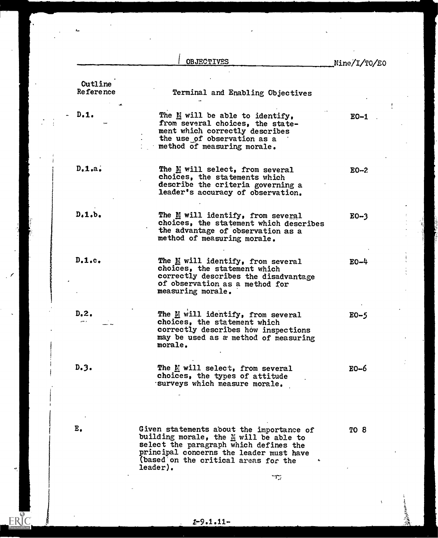|                                    | <b>OBJECTIVES</b>                                                                                                                                                       | $\text{Nine}/\text{I}/\text{TO}/\text{EO}$ |
|------------------------------------|-------------------------------------------------------------------------------------------------------------------------------------------------------------------------|--------------------------------------------|
| <b>Cutline</b><br><b>Reference</b> | Terminal and Enabling Objectives                                                                                                                                        |                                            |
| $-D.1.$                            | The M will be able to identify,<br>from several choices, the state-<br>ment which correctly describes<br>the use of observation as a<br>method of measuring morale.     | $EO-1$                                     |
| $D•1•a•$                           | The M will select, from several<br>choices, the statements which<br>describe the criteria governing a<br>leader's accuracy of observation.                              | $E0-2$                                     |
| $D1$ , $b1$                        | The M will identify, from several<br>choices, the statement which describes<br>the advantage of observation as a<br>method of measuring morale.                         | $E0-3$                                     |
| $D010c0$                           | The M will identify, from several<br>choices, the statement which<br>correctly describes the disadvantage<br>of observation as a method for<br>measuring morale.        | $E0 - 4$                                   |
| $D2$ .<br>دامد                     | The M will identify, from several<br>choices, the statement which<br>correctly describes how inspections<br>may be used as a method of measuring<br>morale.             | $E0-5$                                     |
| D.3.                               | The M will select, from several<br>choices, the types of attitude<br>surveys which measure morale.                                                                      | $E0-6$                                     |
| $E_{\bullet}$                      | Given statements about the importance of<br>building morale, the M will be able to<br>select the paragraph which defines the<br>principal concerns the leader must have | TO 8                                       |

L,

 $\sim 10^{10}$ 

 $\ddot{\phantom{a}}$ 

 $\mathscr{S}$ 

 $\sigma$ 

 $ERIC$ 

ğ

 $\ddot{\phantom{a}}$ 

- そうちのからの このこと

 $2 - 9.1.11 -$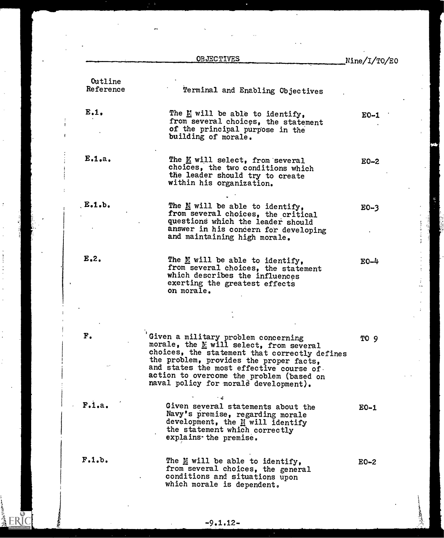|                      | <b>OBJECTIVES</b>                                                                                                                                                                                                                                                                                           | Nine/I/TO/EO |
|----------------------|-------------------------------------------------------------------------------------------------------------------------------------------------------------------------------------------------------------------------------------------------------------------------------------------------------------|--------------|
| Outline<br>Reference | Terminal and Enabling Objectives                                                                                                                                                                                                                                                                            |              |
| E.1.                 | The $\underline{\mathbb{M}}$ will be able to identify,<br>from several choices, the statement<br>of the principal purpose in the<br>building of morale.                                                                                                                                                     | $E0-1$       |
| E.1.a.               | The K will select, from several<br>choices, the two conditions which<br>the leader should try to create<br>within his organization.                                                                                                                                                                         | $E0-2$       |
| E.1.b.               | The $M$ will be able to identify,<br>from several choices, the critical<br>questions which the leader should<br>answer in his concern for developing<br>and maintaining high morale.                                                                                                                        | $E0-3$       |
| $E2$ .               | The $M$ will be able to identify,<br>from several choices, the statement<br>which describes the influences<br>exerting the greatest effects<br>on morale.                                                                                                                                                   | $E0 - 4$     |
|                      |                                                                                                                                                                                                                                                                                                             |              |
| ${\bf F}$ .          | Given a military problem concerning<br>morale, the E will select, from several<br>choices, the statement that correctly defines<br>the problem, provides the proper facts,<br>and states the most effective course of.<br>action to overcome the problem (based on<br>naval policy for morale development). | TO 9         |
| F.1.a.               | Given several statements about the<br>Navy's premise, regarding morale<br>development, the M will identify<br>the statement which correctly<br>explains the premise.                                                                                                                                        | $E0-1$       |
| F.1.b.               | The M will be able to identify,<br>from several choices, the general<br>conditions and situations upon<br>which morale is dependent.                                                                                                                                                                        | $E0-2$       |
|                      |                                                                                                                                                                                                                                                                                                             |              |

ł,

and the file of the color

人名英格兰人姓氏科

¢

 $\frac{1}{\sqrt{2}}$ 

 $\frac{1}{2}$ 

 $\frac{1}{2}$ 

 $\label{eq:2.1} \mathcal{F}_{\mathcal{A}}(\mathcal{A}) = \mathcal{F}_{\mathcal{A}}(\mathcal{A}) = \mathcal{F}_{\mathcal{A}}(\mathcal{A}) = \mathcal{F}_{\mathcal{A}}(\mathcal{A}) = \mathcal{F}_{\mathcal{A}}(\mathcal{A}) = \mathcal{F}_{\mathcal{A}}(\mathcal{A}) = \mathcal{F}_{\mathcal{A}}(\mathcal{A}) = \mathcal{F}_{\mathcal{A}}(\mathcal{A}) = \mathcal{F}_{\mathcal{A}}(\mathcal{A}) = \mathcal{F}_{\mathcal{A}}(\mathcal{A}) = \mathcal{F}_{\mathcal{A}}(\mathcal{A}) = \math$ 

 $\ddot{\cdot}$ 

 $\frac{1}{2}$ 

ERIC

وتعديك والمتوافقه

# $-9.1.12-$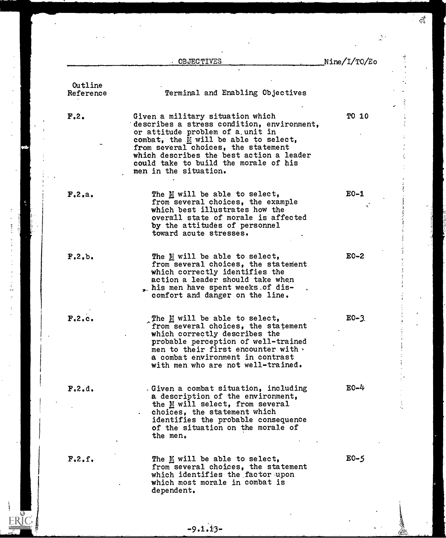|           | OBJECTIVES                                                                                  | Nine/I/TO/Eo |
|-----------|---------------------------------------------------------------------------------------------|--------------|
|           |                                                                                             |              |
| Outline   |                                                                                             |              |
| Reference | Terminal and Enabling Objectives                                                            |              |
|           |                                                                                             |              |
| F, 2.     | Given a military situation which                                                            | <b>TO 10</b> |
|           | describes a stress condition, environment,<br>or attitude problem of a unit in              |              |
|           | combat, the $M$ will be able to select,                                                     |              |
|           | from several choices, the statement                                                         |              |
|           | which describes the best action a leader                                                    |              |
|           | could take to build the morale of his                                                       |              |
|           | men in the situation.                                                                       |              |
|           |                                                                                             |              |
| F.2.a.    | The M will be able to select,                                                               | $E0-1$       |
|           | from several choices, the example<br>which best illustrates how the                         |              |
|           | overall state of morale is affected                                                         |              |
|           | by the attitudes of personnel                                                               |              |
|           | toward acute stresses.                                                                      |              |
|           |                                                                                             |              |
| F, 2, b.  | The $\underline{\mathbb{M}}$ will be able to select,<br>from several choices, the statement | $E0-2$       |
|           | which correctly identifies the                                                              |              |
|           | action a leader should take when                                                            |              |
|           | . his men have spent weeks of dis-                                                          |              |
|           | comfort and danger on the line.                                                             |              |
| F.2.c.    |                                                                                             | $E0 - 3$ .   |
|           | The $M$ will be able to select,<br>from several choices, the statement                      |              |
|           | which correctly describes the                                                               |              |
|           | probable perception of well-trained                                                         |              |
|           | men to their first encounter with $\cdot$                                                   |              |
|           | a combat environment in contrast<br>with men who are not well-trained.                      |              |
|           |                                                                                             |              |
| F.2.d.    | . Given a combat situation, including                                                       | $E0-4$       |
|           | a description of the environment,                                                           |              |
|           | the M will select, from several                                                             |              |
|           | choices, the statement which                                                                |              |
|           | identifies the probable consequence<br>of the situation on the morale of                    |              |
|           | the men.                                                                                    |              |
|           |                                                                                             |              |
| F, 2, f.  | The $\underline{\mathbb{M}}$ will be able to select,                                        | $E0-5$       |
|           | from several choices, the statement<br>which identifies the factor upon                     |              |
|           | which most morale in combat is                                                              |              |
|           | dependent.                                                                                  |              |

 $-9.1.13-$ 

Ę

i.

网络大小仙

医三角 医霍克氏反应法 医小脑下垂术 医前缀 医

 $\overline{z}$  $\ddot{\phantom{0}}$ 

 $\frac{1}{2}$ 

ERIC

 $\frac{1}{\sqrt{2}}$  $\frac{1}{2}$ 

 $\frac{1}{2}$ 

**Allena**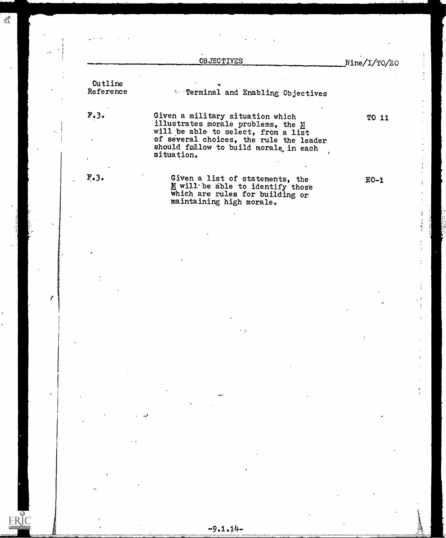|   |                      | <b>OBJECTIVES</b>                                                                                                           |                                                                                                        | Nine/I/TO/EO |
|---|----------------------|-----------------------------------------------------------------------------------------------------------------------------|--------------------------------------------------------------------------------------------------------|--------------|
|   | Outline<br>Reference |                                                                                                                             | * Terminal and Enabling Objectives                                                                     |              |
|   | F.3.                 | Given a military situation which<br>illustrates morale problems, the M<br>will be able to select, from a list<br>situation. | of several choices, the rule the leader<br>should follow to build morale in each                       | TO 11        |
|   | F <sub>•</sub> 3.    | maintaining high morale.                                                                                                    | Given a list of statements, the<br>M will be able to identify those<br>which are rules for building or | $E0-1$       |
|   |                      |                                                                                                                             |                                                                                                        |              |
|   |                      |                                                                                                                             |                                                                                                        |              |
|   |                      |                                                                                                                             |                                                                                                        |              |
|   |                      |                                                                                                                             |                                                                                                        |              |
| T |                      |                                                                                                                             |                                                                                                        |              |
|   |                      |                                                                                                                             |                                                                                                        |              |
|   |                      |                                                                                                                             |                                                                                                        |              |
|   |                      |                                                                                                                             |                                                                                                        |              |
|   |                      |                                                                                                                             |                                                                                                        |              |
|   |                      |                                                                                                                             |                                                                                                        |              |
|   |                      |                                                                                                                             |                                                                                                        |              |
|   |                      |                                                                                                                             |                                                                                                        |              |
|   |                      |                                                                                                                             |                                                                                                        |              |
|   |                      |                                                                                                                             |                                                                                                        |              |
|   |                      |                                                                                                                             |                                                                                                        |              |
|   |                      |                                                                                                                             |                                                                                                        |              |
|   |                      |                                                                                                                             |                                                                                                        |              |
|   |                      | $-9.1.14-$                                                                                                                  |                                                                                                        |              |

 $\overline{\mathbb{Z}}$ 

 $\bar{\mathcal{L}}$ 

网络海外

 $\mathbb{R}^{\frac{1}{2}}$ 

 $\hat{\epsilon}$ 

 $\ddot{\phantom{a}}$ 

ERIC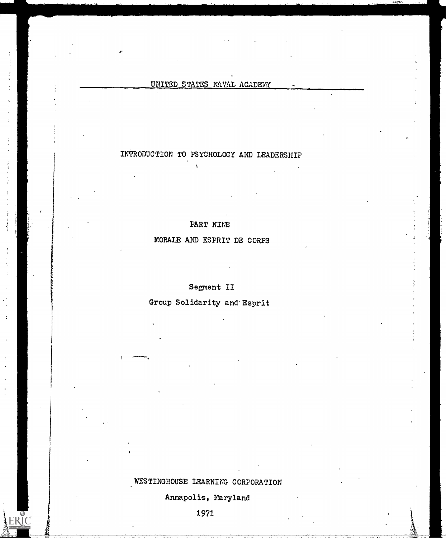### UNITED STATES NAVAL ACADEMY

## INTRODUCTION TO PSYCHOLOGY AND LEADERSHIP

t.

PART NINE

MORALE AND ESPRIT DE CORPS

Segment II

Group Solidarity and Esprit

# WESTINGHOUSE LEARNING CORPORATION

Annapolis, Maryland

1971

ERIC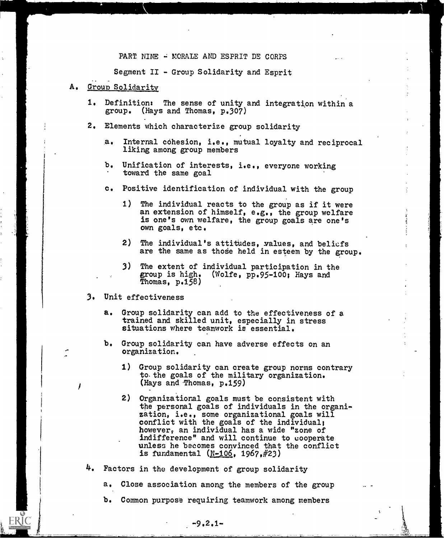#### PART NINE - MORALE AND ESPRIT DE CORPS

Segment II - Group Solidarity and Esprit

#### A. Group Solidarity

- 1. Definition: The sense of unity and integration within a group. (Hays and Thomas, p.307)
- 2. Elements which characterize group solidarity
	- a. Internal cohesion, i.e., mutual loyalty and reciprocal liking among group members
	- b. Unification of interests, i.e., everyone working toward the same goal
	- c. Positive identification of individual with the group
		- 1) The individual reacts to the group as if it were an extension of himself, e.g., the group welfare is one's own welfare, the group goals are one's own goals, etc.
		- 2) The individual's attitudes, values, and beliefs are the same as those held in esteem by the group.
		- 3) The extent of individual participation in the group is high. (Wolfe, pp.95-100; Hays and Thomas, p.158)

#### 3. Unit effectiveness

- a. Group solidarity can add to the effectiveness of a trained and skilled unit, especially in stress situations where teamwork is essential.
- b. Group solidarity can have adverse effects on an organization. .
	- 1) Group solidarity can create group norms contrary to the goals of the military organization. (Hays and Thomas, p.159)
	- 2) Organizational goals must be consistent with the personal goals of individuals in the organization, i.e., some organizational goals will conflict with the goals of the individual; however, an individual has a wide "zone of indifference" and will continue to cooperate unless he becomes convinced that the conflict is fundamental  $(N-106, 1967, #23)$
- 4. Factors in the development of group solidarity
	- a. Close association among the members of the group
	- b. Common purpose requiring teamwork among members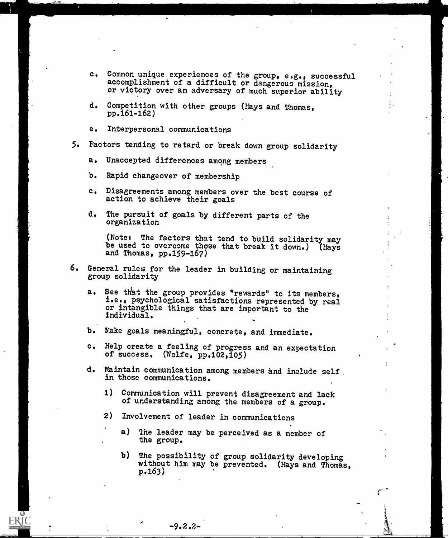- c. Common unique experiences of the group, e.g., successful accomplishment of a difficult or dangerous mission, or victory over an adversary of much superior ability
- d. Competition with other groups (Hays and Thomas, pp.161-162)
- e. Interpersonal communications

1. **1. 1. 1. 1. 1. 1. 1. 1. 1. 1. 1. 1. 1.** 

- 5. Factors tending to retard or break down group solidarity
	- a. Unaccepted differences among members
	- b. Rapid changeover of membership
	- c. Disagreements among members over the best course of action to achieve their goals
	- d. The pursuit of goals by different parts of the organization

(Note: The factors that tend to build solidarity may be used to overcome those that break it down.) (Hays and Thomas, pp.159-167)

- 6. General rules for the leader in building or maintaining group solidarity
	- a. See that the group provides "rewards" to its members, i.e., psychological satisfactions represented by real or intangible things that are important to the individual.
	- b. Make goals meaningful, concrete, and immediate.
	- c. Help create a feeling of progress and an expectation of success. (Wolfe, pp.102,105)
	- d. Maintain communication among members and include self in those communications.
		- 1) Communication will prevent disagreement and lack of understanding among the members of a group.
		- 2) Involvement of leader in communications
			- a) The leader may be perceived as a member of the group.
				- b) The possibility of group solidarity developing without him may be prevented. (Hays and Thomas, p.163)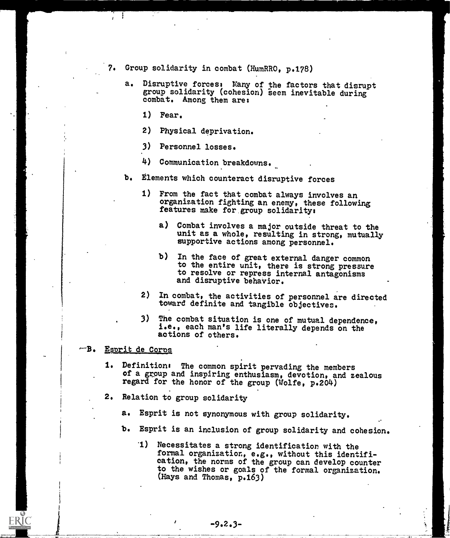- Group solidarity in combat (HumRRO, p.178)
	- a. Disruptive forces: Many of the factors that disrupt group solidarity (cohesion) seem inevitable during combat. Among them are:
		- 1) Fear.
		- 2) Physical deprivation.
		- 3) Personnel losses.
		- 4) Communication breakdowns.
	- b. Elements which counteract disruptive forces
		- 1) From the fact that combat always involves an organization fighting an enemy, these following features make for, group solidarity:
			- a) Combat involves a major outside threat to the unit as a whole, resulting in strong, mutually supportive actions among personnel.
			- b) In the face of great external danger common to the entire unit, there is strong pressure to resolve or repress internal antagonisms and disruptive behavior.
		- 2) In combat, the activities of personnel are directed toward definite and tangible objectives.
		- 3) The combat situation is one of mutual dependence, i.e., each man's life literally depends on the actions of others.
- —в. Eprit de Corps
	- 1. Definition: The common spirit pervading the members of a group and inspiring enthusiasm, devotion, and zealous regard for the honor of the group (Wolfe, p.204)
	- 2. Relation to group solidarity
		- a. Esprit is not synonymous with group solidarity.
		- b. Esprit is an inclusion of group solidarity and cohesion.
			- '1) Necessitates a strong identification with the formal organization, e.g., without this identification, the norms of the group can develop counter to the wishes or goals of the formal organization. (Hays and Thomas, p.163)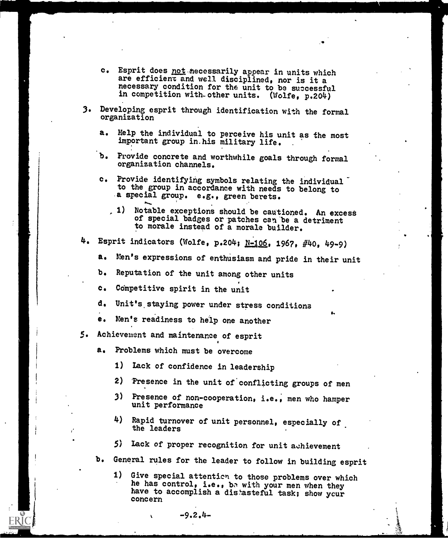- c. Esprit does not necessarily appear in units which are efficient and well disciplined, nor is it a necessary condition for the unit to be successful in competition with-other units. (Wolfe, p.204)
- 3. Developing esprit through identification with the formal organization
	- a. Help the individual to perceive his unit as the most important group in.his military life.
	- b. Provide concrete and worthwhile goals through formal organization channels.
	- c. Provide identifying symbols relating the individual to the group in accordance with needs to belong to a special group. e.g., green berets.
		- 1) Notable exceptions should be cautioned. An excess of special badges or patches can be a detriment to morale instead of a morale builder.
- 4. Esprit indicators (Wolfe, p.204; N-106, 1967, #40, 49-9)
	- a. Men's expressions of enthusiasm and pride in their unit
	- b. Reputation of the unit among other units
	- c. Competitive spirit in the unit
	- d. Unit's staying power under stress conditions
	- e. Men's readiness to help one another
- 5. Achievement and maintenance of esprit
	- a. Problems which must be overcome
		- 1) Lack of confidence in leadership
		- 2) Presence in the unit of conflicting groups of men
		- 3) Presence of non-cooperation, i.e., men who hamper unit performance
		- 4) Rapid turnover of unit personnel, especially of. the leaders
		- 5) Lack of proper recognition for unit achievement
	- b. General rules for the leader to follow in building esprit
		- 1) Give special attention to those problems over which he has control, i.e., be with your men when they have to accomplish a distasteful task; show your concern

 $-9.2.4-$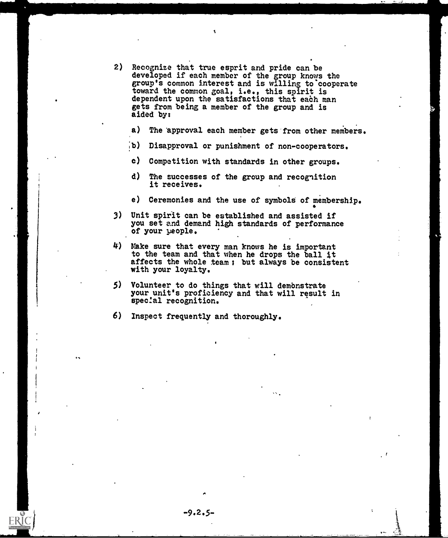- 2) Recognize that true esprit and pride can be developed if each member of the group knows the group's common interest and is willing to cooperate toward the common goal, i.e., this spirit is dependent upon the satisfactions that each man gets from being a member of the group and is aided by:
	- a) The 'approval each member gets from other members.
	- ;b) Disapproval or punishment of non-cooperators.
	- c) Competition with standards in other groups.
	- d) The successes of the group and recognition it receives.
	- e) Ceremonies and the use of symbols of membership.
- 3) Unit spirit can be established and assisted if you set and demand high standards of performance of your people.
- $4$ ) Make sure that every man knows he is important to the team and that when he drops the ball it affects the whole team; but always be consistent with your loyalty.
- 5) Volunteer to do things that will demonstrate your unit's proficiency and that will result in special recognition.

6) Inspect frequently and thoroughly.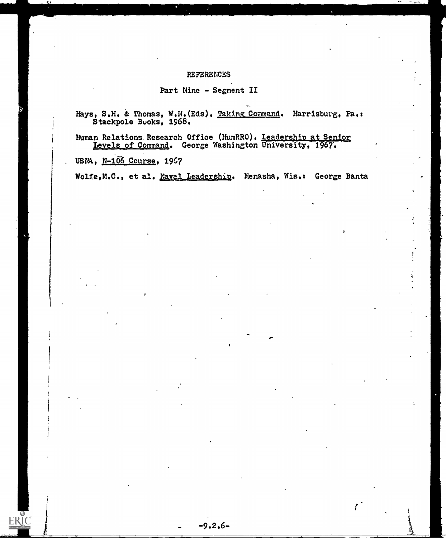#### REFERENCES

### Part Nine - Segment II

Hays, S.H. & Thomas, W.N.(Eds). <u>Taking Command</u>. Harrisburg, Pa.: Stackpole Buoks, 1968.

Human Relations. Research Office (HumRRO), Leadership at Senior Levels of Command. George Washington University, 1967.

USNA,  $N-106$  Course, 1967

ERIC

Wolfe,M.C., et al. Naval Leadership. Menasha, Wis.: George Banta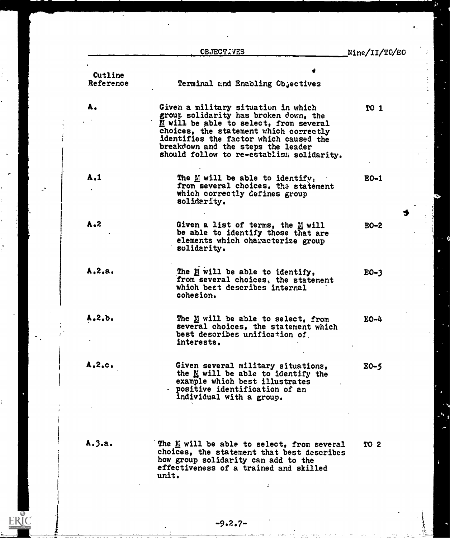OBJECTIVES

 $\begin{array}{cc}\n\frac{1}{2} & \frac{1}{2} & \frac{1}{2} & \frac{1}{2} & \frac{1}{2} & \frac{1}{2} & \frac{1}{2} & \frac{1}{2} & \frac{1}{2} & \frac{1}{2} & \frac{1}{2} & \frac{1}{2} & \frac{1}{2} & \frac{1}{2} & \frac{1}{2} & \frac{1}{2} & \frac{1}{2} & \frac{1}{2} & \frac{1}{2} & \frac{1}{2} & \frac{1}{2} & \frac{1}{2} & \frac{1}{2} & \frac{1}{2} & \frac{1}{2} & \frac{1}{2} & \frac{1$ 

۰.

ERIC

Nine/II/TO/E0

ù

| Cutline      |                                                                                                                                                                                                                                                                                               |             |
|--------------|-----------------------------------------------------------------------------------------------------------------------------------------------------------------------------------------------------------------------------------------------------------------------------------------------|-------------|
| Reference    | Terminal and Enabling Objectives                                                                                                                                                                                                                                                              |             |
| Α.           | Given a military situation in which<br>group solidarity has broken down, the<br>M will be able to select, from several<br>choices, the statement which correctly<br>identifies the factor which caused the<br>breakdown and the steps the leader<br>should follow to re-establish solidarity. | <b>TO 1</b> |
| A.1          | The $\underline{M}$ will be able to identify,<br>from several choices, the statement<br>which correctly defines group<br>solidarity.                                                                                                                                                          | $EO-1$      |
| $A - 2$      | Given a list of terms, the M will<br>be able to identify those that are<br>elements which characterize group<br>solidarity.                                                                                                                                                                   | $EO-2$      |
| A.2.a.       | The M will be able to identify,<br>from several choices, the statement<br>which best describes internal<br>cohesion.                                                                                                                                                                          | $EO-3$      |
| $Ae2$ , $be$ | The M will be able to select, from<br>several choices, the statement which<br>best describes unification of<br>interests.                                                                                                                                                                     | $EO - 4$    |
| A.2.c.       | Given several military situations,<br>the M will be able to identify the<br>example which best illustrates<br>- positive identification of an<br>individual with a group.                                                                                                                     | $E0-5$      |
| A.3.a.       | The M will be able to select, from several<br>choices, the statement that best describes<br>how group solidarity can add to the<br>effectiveness of a trained and skilled<br>unit.                                                                                                            | <b>TO 2</b> |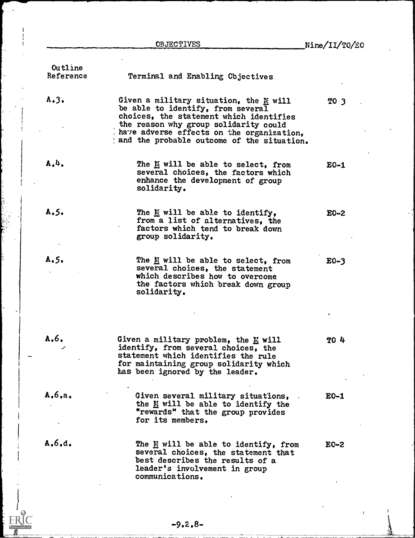$\bar{\psi}$ 

| Outline<br>Reference | Terminal and Enabling Objectives                                                                                                                                                                                                                             |        |
|----------------------|--------------------------------------------------------------------------------------------------------------------------------------------------------------------------------------------------------------------------------------------------------------|--------|
| A.3.                 | Given a military situation, the $M$ will<br>be able to identify, from several<br>choices, the statement which identifies<br>the reason why group solidarity could<br>have adverse effects on the organization.<br>and the probable outcome of the situation. | TO 3   |
| A.4.                 | The M will be able to select, from<br>several choices, the factors which<br>enhance the development of group<br>solidarity.                                                                                                                                  | $E0-1$ |
| A.5.                 | The $\underline{\mathbb{M}}$ will be able to identify,<br>from a list of alternatives, the<br>factors which tend to break down<br>group solidarity.                                                                                                          | $E0-2$ |
| A.5.                 | The M will be able to select, from<br>several choices, the statement<br>which describes how to overcome<br>the factors which break down group<br>solidarity.                                                                                                 | $E0-3$ |
| A.6.                 | Given a military problem, the $E$ will<br>identify, from several choices, the<br>statement which identifies the rule<br>for maintaining group solidarity which<br>has been ignored by the leader.                                                            | TO 4   |
| A, 6, a,             | Given several military situations,<br>the M will be able to identify the<br>"rewards" that the group provides<br>for its members.                                                                                                                            | $E0-1$ |
| A.6.d.               | The M will be able to identify, from<br>several choices, the statement that<br>best describes the results of a<br>leader's involvement in group<br>communications.                                                                                           | $E0-2$ |

ERIC

ll Tex<br>B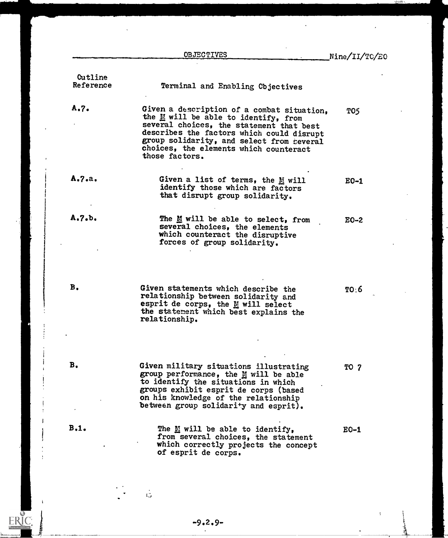|                      | <b>OBJECTIVES</b>                                                                                                                                                                                                                                                                                           | Nine/II/TO/EO |
|----------------------|-------------------------------------------------------------------------------------------------------------------------------------------------------------------------------------------------------------------------------------------------------------------------------------------------------------|---------------|
| Cutline<br>Reference | Terminal and Enabling Cbjectives                                                                                                                                                                                                                                                                            |               |
| A.7.                 | Given a description of a combat situation,<br>the $\underline{\mathbb{M}}$ will be able to identify, from<br>several choices, the statement that best<br>describes the factors which could disrupt<br>group solidarity, and select from several<br>choices, the elements which counteract<br>those factors. | TO5           |
| A.7.2.               | Given a list of terms, the M will<br>identify those which are factors<br>that disrupt group solidarity.                                                                                                                                                                                                     | $E0-1$        |
| A.7. b.              | The M will be able to select, from<br>several choices, the elements<br>which counteract the disruptive<br>forces of group solidarity.                                                                                                                                                                       | $E0-2$        |
| В.                   | Given statements which describe the<br>relationship between solidarity and<br>esprit de corps, the M will select<br>the statement which best explains the<br>relationship.                                                                                                                                  | TO:6          |
| В.                   | Given military situations illustrating<br>group performance, the M will be able<br>to identify the situations in which<br>groups exhibit esprit de corps (based<br>on his knowledge of the relationship<br>between group solidarity and esprit).                                                            | <b>TO 7</b>   |
| B.1.                 | The $\underline{\mathbf{M}}$ will be able to identify,<br>from several choices, the statement<br>which correctly projects the concept<br>of esprit de corps.                                                                                                                                                | $EO-1$        |

-9.2.9-

÷

 $\frac{1}{2}$ 

 $\ddot{\ddot{\circ}}$ 

ĵ

ERIC

**The Report**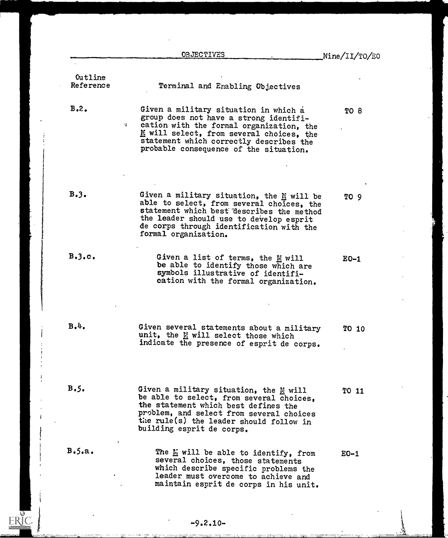|                               | <b>OBJECTIVES</b>                                                                                                                                                                                                                                                  | Nine/II/TO/E0 |
|-------------------------------|--------------------------------------------------------------------------------------------------------------------------------------------------------------------------------------------------------------------------------------------------------------------|---------------|
| Outline<br>Reference          | Terminal and Enabling Objectives                                                                                                                                                                                                                                   |               |
| B <sub>0</sub> 2 <sub>0</sub> | Given a military situation in which a<br>group does not have a strong identifi-<br>cation with the formal organization, the<br>41<br>M will select, from several choices, the<br>statement which correctly describes the<br>probable consequence of the situation. | <b>TO 8</b>   |
| B.3.                          | Given a military situation, the M will be<br>able to select, from several choices, the<br>statement which best describes the method<br>the leader should use to develop esprit<br>de corps through identification with the<br>formal organization.                 | TO 9          |
| B.3. c.                       | Given a list of terms, the M will<br>be able to identify those which are<br>symbols illustrative of identifi-<br>cation with the formal organization.                                                                                                              | $E0-1$        |
| в.4.                          | Given several statements about a military<br>unit, the MM will select those which<br>indicate the presence of esprit de corps.                                                                                                                                     | TO 10         |
| B.5.                          | Given a military situation, the M will<br>be able to select, from several choices,<br>the statement which best defines the<br>problem, and select from several choices<br>the rule(s) the leader should follow in<br>building esprit de corps.                     | TO 11         |
| B.5.a.                        | The M will be able to identify, from<br>several choices, those statements<br>which describe specific problems the<br>leader must overcome to achieve and<br>maintain esprit de corps in his unit.                                                                  | $EO-1$        |

 $\sum_{\text{Fullact Proof by FRIC}}$